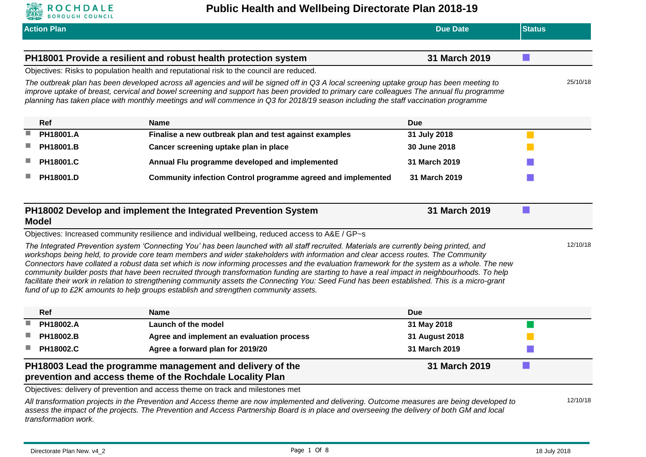

| <b>Action Plan</b>                                                                                                                                                                                                                                                                                                                                                                                                                                                                                                                                                                                                                                                                                                                                                                                                                                                                                                                                                                                                                                                |                                                                                                                                                                                                                                                                                           | <b>Due Date</b> | <b>Status</b> |          |
|-------------------------------------------------------------------------------------------------------------------------------------------------------------------------------------------------------------------------------------------------------------------------------------------------------------------------------------------------------------------------------------------------------------------------------------------------------------------------------------------------------------------------------------------------------------------------------------------------------------------------------------------------------------------------------------------------------------------------------------------------------------------------------------------------------------------------------------------------------------------------------------------------------------------------------------------------------------------------------------------------------------------------------------------------------------------|-------------------------------------------------------------------------------------------------------------------------------------------------------------------------------------------------------------------------------------------------------------------------------------------|-----------------|---------------|----------|
|                                                                                                                                                                                                                                                                                                                                                                                                                                                                                                                                                                                                                                                                                                                                                                                                                                                                                                                                                                                                                                                                   |                                                                                                                                                                                                                                                                                           |                 |               |          |
|                                                                                                                                                                                                                                                                                                                                                                                                                                                                                                                                                                                                                                                                                                                                                                                                                                                                                                                                                                                                                                                                   | PH18001 Provide a resilient and robust health protection system                                                                                                                                                                                                                           | 31 March 2019   |               |          |
|                                                                                                                                                                                                                                                                                                                                                                                                                                                                                                                                                                                                                                                                                                                                                                                                                                                                                                                                                                                                                                                                   | Objectives: Risks to population health and reputational risk to the council are reduced.<br>The outbreak plan has been developed across all agencies and will be signed off in Q3 A local screening uptake group has been meeting to                                                      |                 |               | 25/10/18 |
|                                                                                                                                                                                                                                                                                                                                                                                                                                                                                                                                                                                                                                                                                                                                                                                                                                                                                                                                                                                                                                                                   | improve uptake of breast, cervical and bowel screening and support has been provided to primary care colleagues The annual flu programme<br>planning has taken place with monthly meetings and will commence in Q3 for 2018/19 season including the staff vaccination programme           |                 |               |          |
| Ref                                                                                                                                                                                                                                                                                                                                                                                                                                                                                                                                                                                                                                                                                                                                                                                                                                                                                                                                                                                                                                                               | <b>Name</b>                                                                                                                                                                                                                                                                               | <b>Due</b>      |               |          |
| PH18001.A                                                                                                                                                                                                                                                                                                                                                                                                                                                                                                                                                                                                                                                                                                                                                                                                                                                                                                                                                                                                                                                         | Finalise a new outbreak plan and test against examples                                                                                                                                                                                                                                    | 31 July 2018    |               |          |
| PH18001.B                                                                                                                                                                                                                                                                                                                                                                                                                                                                                                                                                                                                                                                                                                                                                                                                                                                                                                                                                                                                                                                         | Cancer screening uptake plan in place                                                                                                                                                                                                                                                     | 30 June 2018    |               |          |
| PH18001.C                                                                                                                                                                                                                                                                                                                                                                                                                                                                                                                                                                                                                                                                                                                                                                                                                                                                                                                                                                                                                                                         | Annual Flu programme developed and implemented                                                                                                                                                                                                                                            | 31 March 2019   |               |          |
| PH18001.D                                                                                                                                                                                                                                                                                                                                                                                                                                                                                                                                                                                                                                                                                                                                                                                                                                                                                                                                                                                                                                                         | <b>Community infection Control programme agreed and implemented</b>                                                                                                                                                                                                                       | 31 March 2019   |               |          |
| 31 March 2019<br>PH18002 Develop and implement the Integrated Prevention System<br><b>Model</b><br>Objectives: Increased community resilience and individual wellbeing, reduced access to A&E / GP~s<br>The Integrated Prevention system 'Connecting You' has been launched with all staff recruited. Materials are currently being printed, and<br>workshops being held, to provide core team members and wider stakeholders with information and clear access routes. The Community<br>Connectors have collated a robust data set which is now informing processes and the evaluation framework for the system as a whole. The new<br>community builder posts that have been recruited through transformation funding are starting to have a real impact in neighbourhoods. To help<br>facilitate their work in relation to strengthening community assets the Connecting You: Seed Fund has been established. This is a micro-grant<br>fund of up to £2K amounts to help groups establish and strengthen community assets.<br>Ref<br><b>Name</b><br><b>Due</b> |                                                                                                                                                                                                                                                                                           |                 |               | 12/10/18 |
| PH18002.A                                                                                                                                                                                                                                                                                                                                                                                                                                                                                                                                                                                                                                                                                                                                                                                                                                                                                                                                                                                                                                                         | Launch of the model                                                                                                                                                                                                                                                                       | 31 May 2018     |               |          |
| PH18002.B                                                                                                                                                                                                                                                                                                                                                                                                                                                                                                                                                                                                                                                                                                                                                                                                                                                                                                                                                                                                                                                         | Agree and implement an evaluation process                                                                                                                                                                                                                                                 | 31 August 2018  |               |          |
| PH18002.C                                                                                                                                                                                                                                                                                                                                                                                                                                                                                                                                                                                                                                                                                                                                                                                                                                                                                                                                                                                                                                                         | Agree a forward plan for 2019/20                                                                                                                                                                                                                                                          | 31 March 2019   |               |          |
|                                                                                                                                                                                                                                                                                                                                                                                                                                                                                                                                                                                                                                                                                                                                                                                                                                                                                                                                                                                                                                                                   | PH18003 Lead the programme management and delivery of the<br>prevention and access theme of the Rochdale Locality Plan                                                                                                                                                                    | 31 March 2019   |               |          |
|                                                                                                                                                                                                                                                                                                                                                                                                                                                                                                                                                                                                                                                                                                                                                                                                                                                                                                                                                                                                                                                                   | Objectives: delivery of prevention and access theme on track and milestones met                                                                                                                                                                                                           |                 |               |          |
| transformation work.                                                                                                                                                                                                                                                                                                                                                                                                                                                                                                                                                                                                                                                                                                                                                                                                                                                                                                                                                                                                                                              | All transformation projects in the Prevention and Access theme are now implemented and delivering. Outcome measures are being developed to<br>assess the impact of the projects. The Prevention and Access Partnership Board is in place and overseeing the delivery of both GM and local |                 |               | 12/10/18 |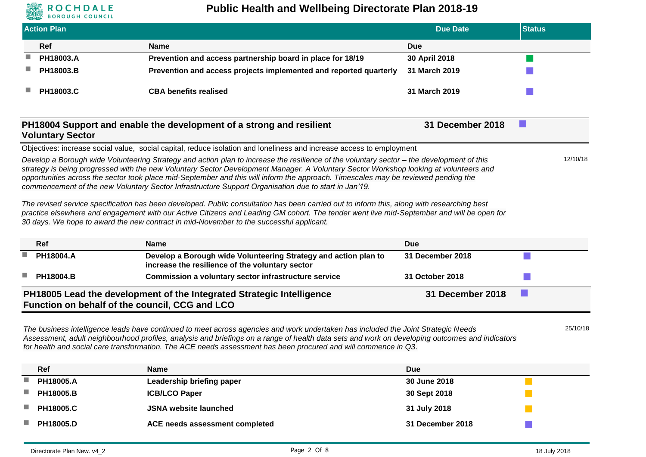

### **Public Health and Wellbeing Directorate Plan 2018-19**

|                                                                                                                                                                                                                                                                                                                                                                                                                                                                                                                                  | <b>Action Plan</b>                             |                                                                                                                                                                                                                                                                                                                                                                                    | <b>Due Date</b>  | <b>Status</b> |          |
|----------------------------------------------------------------------------------------------------------------------------------------------------------------------------------------------------------------------------------------------------------------------------------------------------------------------------------------------------------------------------------------------------------------------------------------------------------------------------------------------------------------------------------|------------------------------------------------|------------------------------------------------------------------------------------------------------------------------------------------------------------------------------------------------------------------------------------------------------------------------------------------------------------------------------------------------------------------------------------|------------------|---------------|----------|
|                                                                                                                                                                                                                                                                                                                                                                                                                                                                                                                                  | <b>Ref</b>                                     | <b>Name</b>                                                                                                                                                                                                                                                                                                                                                                        | Due              |               |          |
|                                                                                                                                                                                                                                                                                                                                                                                                                                                                                                                                  | PH18003.A                                      | Prevention and access partnership board in place for 18/19                                                                                                                                                                                                                                                                                                                         | 30 April 2018    |               |          |
|                                                                                                                                                                                                                                                                                                                                                                                                                                                                                                                                  | PH18003.B                                      | Prevention and access projects implemented and reported quarterly                                                                                                                                                                                                                                                                                                                  | 31 March 2019    |               |          |
|                                                                                                                                                                                                                                                                                                                                                                                                                                                                                                                                  | PH18003.C                                      | <b>CBA benefits realised</b>                                                                                                                                                                                                                                                                                                                                                       | 31 March 2019    |               |          |
|                                                                                                                                                                                                                                                                                                                                                                                                                                                                                                                                  | <b>Voluntary Sector</b>                        | PH18004 Support and enable the development of a strong and resilient                                                                                                                                                                                                                                                                                                               | 31 December 2018 |               |          |
|                                                                                                                                                                                                                                                                                                                                                                                                                                                                                                                                  |                                                | Objectives: increase social value, social capital, reduce isolation and loneliness and increase access to employment                                                                                                                                                                                                                                                               |                  |               |          |
| Develop a Borough wide Volunteering Strategy and action plan to increase the resilience of the voluntary sector – the development of this<br>strategy is being progressed with the new Voluntary Sector Development Manager. A Voluntary Sector Workshop looking at volunteers and<br>opportunities across the sector took place mid-September and this will inform the approach. Timescales may be reviewed pending the<br>commencement of the new Voluntary Sector Infrastructure Support Organisation due to start in Jan'19. |                                                |                                                                                                                                                                                                                                                                                                                                                                                    |                  |               | 12/10/18 |
|                                                                                                                                                                                                                                                                                                                                                                                                                                                                                                                                  |                                                | The revised service specification has been developed. Public consultation has been carried out to inform this, along with researching best<br>practice elsewhere and engagement with our Active Citizens and Leading GM cohort. The tender went live mid-September and will be open for<br>30 days. We hope to award the new contract in mid-November to the successful applicant. |                  |               |          |
|                                                                                                                                                                                                                                                                                                                                                                                                                                                                                                                                  | <b>Ref</b>                                     | <b>Name</b>                                                                                                                                                                                                                                                                                                                                                                        | <b>Due</b>       |               |          |
|                                                                                                                                                                                                                                                                                                                                                                                                                                                                                                                                  | PH18004.A                                      | Develop a Borough wide Volunteering Strategy and action plan to<br>increase the resilience of the voluntary sector                                                                                                                                                                                                                                                                 | 31 December 2018 |               |          |
|                                                                                                                                                                                                                                                                                                                                                                                                                                                                                                                                  | PH18004.B                                      | Commission a voluntary sector infrastructure service                                                                                                                                                                                                                                                                                                                               | 31 October 2018  |               |          |
|                                                                                                                                                                                                                                                                                                                                                                                                                                                                                                                                  | Function on behalf of the council, CCG and LCO | PH18005 Lead the development of the Integrated Strategic Intelligence                                                                                                                                                                                                                                                                                                              | 31 December 2018 |               |          |

*The business intelligence leads have continued to meet across agencies and work undertaken has included the Joint Strategic Needs Assessment, adult neighbourhood profiles, analysis and briefings on a range of health data sets and work on developing outcomes and indicators for health and social care transformation. The ACE needs assessment has been procured and will commence in Q3.*

|   | <b>Ref</b>       | <b>Name</b>                    | <b>Due</b>       |
|---|------------------|--------------------------------|------------------|
| ٠ | <b>PH18005.A</b> | Leadership briefing paper      | 30 June 2018     |
| ٠ | <b>PH18005.B</b> | <b>ICB/LCO Paper</b>           | 30 Sept 2018     |
| ٠ | <b>PH18005.C</b> | <b>JSNA website launched</b>   | 31 July 2018     |
| ٠ | <b>PH18005.D</b> | ACE needs assessment completed | 31 December 2018 |

25/10/18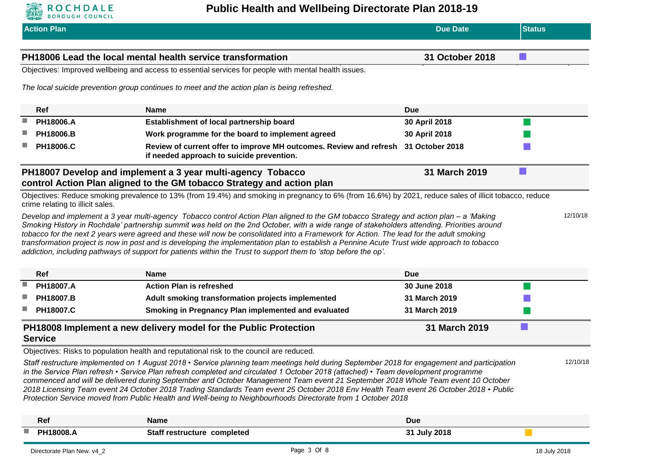

|   | <b>Action Plan</b>               |                                                                                                                                                                                                                                                                                                                                                                                                                                                                                                                                                                                                                                                                                                    | <b>Due Date</b> | <b>Status</b> |          |
|---|----------------------------------|----------------------------------------------------------------------------------------------------------------------------------------------------------------------------------------------------------------------------------------------------------------------------------------------------------------------------------------------------------------------------------------------------------------------------------------------------------------------------------------------------------------------------------------------------------------------------------------------------------------------------------------------------------------------------------------------------|-----------------|---------------|----------|
|   |                                  | PH18006 Lead the local mental health service transformation                                                                                                                                                                                                                                                                                                                                                                                                                                                                                                                                                                                                                                        | 31 October 2018 |               |          |
|   |                                  | Objectives: Improved wellbeing and access to essential services for people with mental health issues.                                                                                                                                                                                                                                                                                                                                                                                                                                                                                                                                                                                              |                 |               |          |
|   |                                  | The local suicide prevention group continues to meet and the action plan is being refreshed.                                                                                                                                                                                                                                                                                                                                                                                                                                                                                                                                                                                                       |                 |               |          |
|   | Ref                              | <b>Name</b>                                                                                                                                                                                                                                                                                                                                                                                                                                                                                                                                                                                                                                                                                        | <b>Due</b>      |               |          |
| ٠ | PH18006.A                        | Establishment of local partnership board                                                                                                                                                                                                                                                                                                                                                                                                                                                                                                                                                                                                                                                           | 30 April 2018   |               |          |
|   | PH18006.B                        | Work programme for the board to implement agreed                                                                                                                                                                                                                                                                                                                                                                                                                                                                                                                                                                                                                                                   | 30 April 2018   |               |          |
|   | PH18006.C                        | Review of current offer to improve MH outcomes. Review and refresh 31 October 2018<br>if needed approach to suicide prevention.                                                                                                                                                                                                                                                                                                                                                                                                                                                                                                                                                                    |                 |               |          |
|   |                                  | PH18007 Develop and implement a 3 year multi-agency Tobacco<br>control Action Plan aligned to the GM tobacco Strategy and action plan                                                                                                                                                                                                                                                                                                                                                                                                                                                                                                                                                              | 31 March 2019   |               |          |
|   | crime relating to illicit sales. | Objectives: Reduce smoking prevalence to 13% (from 19.4%) and smoking in pregnancy to 6% (from 16.6%) by 2021, reduce sales of illicit tobacco, reduce                                                                                                                                                                                                                                                                                                                                                                                                                                                                                                                                             |                 |               |          |
|   |                                  | Develop and implement a 3 year multi-agency Tobacco control Action Plan aligned to the GM tobacco Strategy and action plan - a 'Making<br>Smoking History in Rochdale' partnership summit was held on the 2nd October, with a wide range of stakeholders attending. Priorities around<br>tobacco for the next 2 years were agreed and these will now be consolidated into a Framework for Action. The lead for the adult smoking<br>transformation project is now in post and is developing the implementation plan to establish a Pennine Acute Trust wide approach to tobacco<br>addiction, including pathways of support for patients within the Trust to support them to 'stop before the op'. |                 |               | 12/10/18 |
|   | Ref                              | <b>Name</b>                                                                                                                                                                                                                                                                                                                                                                                                                                                                                                                                                                                                                                                                                        | <b>Due</b>      |               |          |
|   | PH18007.A                        | <b>Action Plan is refreshed</b>                                                                                                                                                                                                                                                                                                                                                                                                                                                                                                                                                                                                                                                                    | 30 June 2018    |               |          |
|   | PH18007.B                        | Adult smoking transformation projects implemented                                                                                                                                                                                                                                                                                                                                                                                                                                                                                                                                                                                                                                                  | 31 March 2019   |               |          |
|   | PH18007.C                        | Smoking in Pregnancy Plan implemented and evaluated                                                                                                                                                                                                                                                                                                                                                                                                                                                                                                                                                                                                                                                | 31 March 2019   |               |          |
|   | <b>Service</b>                   | PH18008 Implement a new delivery model for the Public Protection                                                                                                                                                                                                                                                                                                                                                                                                                                                                                                                                                                                                                                   | 31 March 2019   |               |          |
|   |                                  | Objectives: Risks to population health and reputational risk to the council are reduced.                                                                                                                                                                                                                                                                                                                                                                                                                                                                                                                                                                                                           |                 |               |          |
|   |                                  | Staff restructure implemented on 1 August 2018 • Service planning team meetings held during September 2018 for engagement and participation<br>in the Service Plan refresh • Service Plan refresh completed and circulated 1 October 2018 (attached) • Team development programme<br>commenced and will be delivered during September and October Management Team event 21 September 2018 Whole Team event 10 October<br>2018 Licensing Team event 24 October 2018 Trading Standards Team event 25 October 2018 Env Health Team event 26 October 2018 • Public<br>Protection Service moved from Public Health and Well-being to Neighbourhoods Directorate from 1 October 2018                     |                 |               | 12/10/18 |
|   | Ref                              | <b>Name</b>                                                                                                                                                                                                                                                                                                                                                                                                                                                                                                                                                                                                                                                                                        | <b>Due</b>      |               |          |
|   | PH18008.A                        | Staff restructure completed                                                                                                                                                                                                                                                                                                                                                                                                                                                                                                                                                                                                                                                                        | 31 July 2018    |               |          |
|   | Directorate Plan New. v4 2       | Page 3 Of 8                                                                                                                                                                                                                                                                                                                                                                                                                                                                                                                                                                                                                                                                                        |                 | 18 July 2018  |          |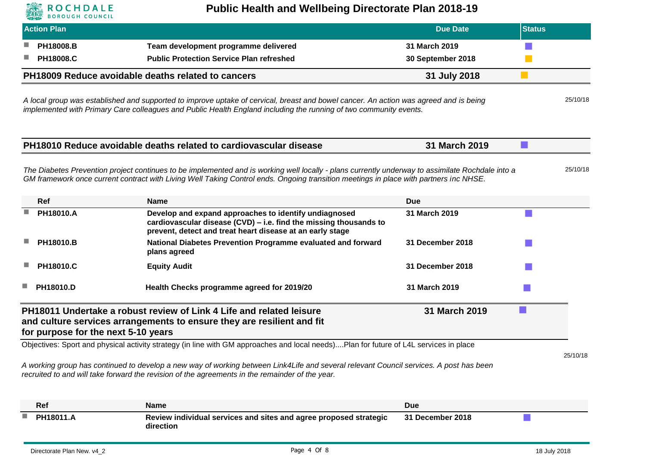

## **Public Health and Wellbeing Directorate Plan 2018-19**

| <b>Action Plan</b>                  |                                                                                                                                                                                                                                                                                           | <b>Due Date</b>                    | <b>Status</b> |          |
|-------------------------------------|-------------------------------------------------------------------------------------------------------------------------------------------------------------------------------------------------------------------------------------------------------------------------------------------|------------------------------------|---------------|----------|
| PH18008.B<br>PH18008.C              | Team development programme delivered<br><b>Public Protection Service Plan refreshed</b>                                                                                                                                                                                                   | 31 March 2019<br>30 September 2018 |               |          |
|                                     | PH18009 Reduce avoidable deaths related to cancers                                                                                                                                                                                                                                        | 31 July 2018                       |               |          |
|                                     | A local group was established and supported to improve uptake of cervical, breast and bowel cancer. An action was agreed and is being<br>implemented with Primary Care colleagues and Public Health England including the running of two community events.                                |                                    |               | 25/10/18 |
|                                     | PH18010 Reduce avoidable deaths related to cardiovascular disease                                                                                                                                                                                                                         | 31 March 2019                      | ×.            |          |
|                                     | The Diabetes Prevention project continues to be implemented and is working well locally - plans currently underway to assimilate Rochdale into a<br>GM framework once current contract with Living Well Taking Control ends. Ongoing transition meetings in place with partners inc NHSE. |                                    |               | 25/10/18 |
| Ref                                 | Name                                                                                                                                                                                                                                                                                      | <b>Due</b>                         |               |          |
| PH18010.A                           | Develop and expand approaches to identify undiagnosed<br>cardiovascular disease (CVD) - i.e. find the missing thousands to<br>prevent, detect and treat heart disease at an early stage                                                                                                   | 31 March 2019                      |               |          |
| PH18010.B                           | National Diabetes Prevention Programme evaluated and forward<br>plans agreed                                                                                                                                                                                                              | 31 December 2018                   |               |          |
| PH18010.C                           | <b>Equity Audit</b>                                                                                                                                                                                                                                                                       | 31 December 2018                   |               |          |
| PH18010.D                           | Health Checks programme agreed for 2019/20                                                                                                                                                                                                                                                | 31 March 2019                      |               |          |
| for purpose for the next 5-10 years | PH18011 Undertake a robust review of Link 4 Life and related leisure<br>and culture services arrangements to ensure they are resilient and fit                                                                                                                                            | 31 March 2019                      |               |          |
|                                     | Objectives: Sport and physical activity strategy (in line with GM approaches and local needs)Plan for future of L4L services in place                                                                                                                                                     |                                    |               |          |
|                                     | A working group has continued to develop a new way of working between Link4Life and several relevant Council services. A post has been<br>recruited to and will take forward the revision of the agreements in the remainder of the year.                                                 |                                    |               | 25/10/18 |
| Ref                                 | <b>Name</b>                                                                                                                                                                                                                                                                               | <b>Due</b>                         |               |          |
| PH18011.A                           | Review individual services and sites and agree proposed strategic                                                                                                                                                                                                                         | 31 December 2018                   |               |          |

**direction**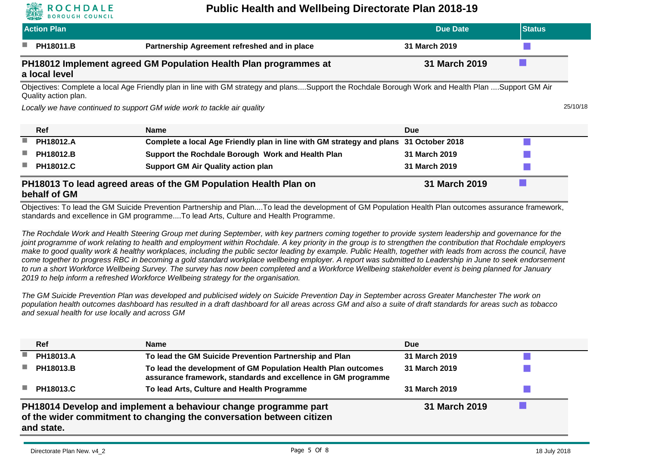# OCHDALE

Quality action plan.

#### **Public Health and Wellbeing Directorate Plan 2018-19**

| <b>Action Plan</b>                                                                                                                                |                                              | Due Date      | <b>Status</b> |  |  |
|---------------------------------------------------------------------------------------------------------------------------------------------------|----------------------------------------------|---------------|---------------|--|--|
| a a<br><b>PH18011.B</b>                                                                                                                           | Partnership Agreement refreshed and in place | 31 March 2019 |               |  |  |
| PH18012 Implement agreed GM Population Health Plan programmes at<br>31 March 2019<br>a local level                                                |                                              |               |               |  |  |
| Objectives: Complete a local Age Friendly plan in line with GM strategy and plansSupport the Rochdale Borough Work and Health Plan Support GM Air |                                              |               |               |  |  |

*Locally we have continued to support GM wide work to tackle air quality* 25/10/18

**Ref Name Due PH18012.A Complete a local Age Friendly plan in line with GM strategy and plans 31 October 2018 PH18012.B Support the Rochdale Borough Work and Health Plan 31 March 2019 PH18012.C Support GM Air Quality action plan 31 March 2019 PH18013 To lead agreed areas of the GM Population Health Plan on behalf of GM 31 March 2019**

Objectives: To lead the GM Suicide Prevention Partnership and Plan....To lead the development of GM Population Health Plan outcomes assurance framework, standards and excellence in GM programme....To lead Arts, Culture and Health Programme.

*The Rochdale Work and Health Steering Group met during September, with key partners coming together to provide system leadership and governance for the joint programme of work relating to health and employment within Rochdale. A key priority in the group is to strengthen the contribution that Rochdale employers make to good quality work & healthy workplaces, including the public sector leading by example. Public Health, together with leads from across the council, have come together to progress RBC in becoming a gold standard workplace wellbeing employer. A report was submitted to Leadership in June to seek endorsement to run a short Workforce Wellbeing Survey. The survey has now been completed and a Workforce Wellbeing stakeholder event is being planned for January 2019 to help inform a refreshed Workforce Wellbeing strategy for the organisation.*

*The GM Suicide Prevention Plan was developed and publicised widely on Suicide Prevention Day in September across Greater Manchester The work on population health outcomes dashboard has resulted in a draft dashboard for all areas across GM and also a suite of draft standards for areas such as tobacco and sexual health for use locally and across GM*

|     | <b>Ref</b>                                                                                                                                                             | <b>Name</b>                                                                                                                    | <b>Due</b>    |  |  |  |
|-----|------------------------------------------------------------------------------------------------------------------------------------------------------------------------|--------------------------------------------------------------------------------------------------------------------------------|---------------|--|--|--|
| ш   | PH18013.A                                                                                                                                                              | To lead the GM Suicide Prevention Partnership and Plan                                                                         | 31 March 2019 |  |  |  |
| a a | <b>PH18013.B</b>                                                                                                                                                       | To lead the development of GM Population Health Plan outcomes<br>assurance framework, standards and excellence in GM programme | 31 March 2019 |  |  |  |
| a a | <b>PH18013.C</b>                                                                                                                                                       | To lead Arts, Culture and Health Programme                                                                                     | 31 March 2019 |  |  |  |
|     | PH18014 Develop and implement a behaviour change programme part<br>31 March 2019<br>of the wider commitment to changing the conversation between citizen<br>and state. |                                                                                                                                |               |  |  |  |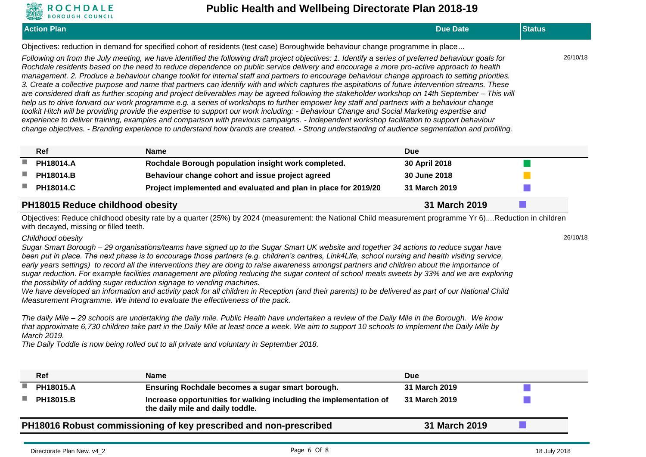

#### **Public Health and Wellbeing Directorate Plan 2018-19**

| <b>Action Plan</b>                                                                                                                                                                                                                                                                                                                                                                                                                                                                                                                                                                                                                                                                                                                                                                                                                                                                                                                                                                                                                                                                                                                                                                                                                                                                                                                                | <b>Due Date</b> | <b>Status</b> |          |
|---------------------------------------------------------------------------------------------------------------------------------------------------------------------------------------------------------------------------------------------------------------------------------------------------------------------------------------------------------------------------------------------------------------------------------------------------------------------------------------------------------------------------------------------------------------------------------------------------------------------------------------------------------------------------------------------------------------------------------------------------------------------------------------------------------------------------------------------------------------------------------------------------------------------------------------------------------------------------------------------------------------------------------------------------------------------------------------------------------------------------------------------------------------------------------------------------------------------------------------------------------------------------------------------------------------------------------------------------|-----------------|---------------|----------|
| Objectives: reduction in demand for specified cohort of residents (test case) Boroughwide behaviour change programme in place                                                                                                                                                                                                                                                                                                                                                                                                                                                                                                                                                                                                                                                                                                                                                                                                                                                                                                                                                                                                                                                                                                                                                                                                                     |                 |               |          |
| Following on from the July meeting, we have identified the following draft project objectives: 1. Identify a series of preferred behaviour goals for<br>Rochdale residents based on the need to reduce dependence on public service delivery and encourage a more pro-active approach to health<br>management. 2. Produce a behaviour change toolkit for internal staff and partners to encourage behaviour change approach to setting priorities.<br>3. Create a collective purpose and name that partners can identify with and which captures the aspirations of future intervention streams. These<br>are considered draft as further scoping and project deliverables may be agreed following the stakeholder workshop on 14th September - This will<br>help us to drive forward our work programme e.g. a series of workshops to further empower key staff and partners with a behaviour change<br>toolkit Hitch will be providing provide the expertise to support our work including: - Behaviour Change and Social Marketing expertise and<br>experience to deliver training, examples and comparison with previous campaigns. - Independent workshop facilitation to support behaviour<br>change objectives. - Branding experience to understand how brands are created. - Strong understanding of audience segmentation and profiling. |                 |               | 26/10/18 |

|                                                          | <b>Ref</b>       | <b>Name</b>                                                     | <b>Due</b>    |  |
|----------------------------------------------------------|------------------|-----------------------------------------------------------------|---------------|--|
|                                                          | PH18014.A        | Rochdale Borough population insight work completed.             | 30 April 2018 |  |
|                                                          | <b>PH18014.B</b> | Behaviour change cohort and issue project agreed                | 30 June 2018  |  |
|                                                          | <b>PH18014.C</b> | Project implemented and evaluated and plan in place for 2019/20 | 31 March 2019 |  |
| <b>PH18015 Reduce childhood obesity</b><br>31 March 2019 |                  |                                                                 |               |  |

Objectives: Reduce childhood obesity rate by a quarter (25%) by 2024 (measurement: the National Child measurement programme Yr 6)....Reduction in children with decayed, missing or filled teeth.

#### *Childhood obesity*

*Sugar Smart Borough – 29 organisations/teams have signed up to the Sugar Smart UK website and together 34 actions to reduce sugar have been put in place. The next phase is to encourage those partners (e.g. children's centres, Link4Life, school nursing and health visiting service, early years settings) to record all the interventions they are doing to raise awareness amongst partners and children about the importance of sugar reduction. For example facilities management are piloting reducing the sugar content of school meals sweets by 33% and we are exploring the possibility of adding sugar reduction signage to vending machines.* 

*We have developed an information and activity pack for all children in Reception (and their parents) to be delivered as part of our National Child Measurement Programme. We intend to evaluate the effectiveness of the pack.* 

*The daily Mile – 29 schools are undertaking the daily mile. Public Health have undertaken a review of the Daily Mile in the Borough. We know that approximate 6,730 children take part in the Daily Mile at least once a week. We aim to support 10 schools to implement the Daily Mile by March 2019.* 

*The Daily Toddle is now being rolled out to all private and voluntary in September 2018.*

|     | <b>Ref</b>       | <b>Name</b>                                                                                            | <b>Due</b>    |  |
|-----|------------------|--------------------------------------------------------------------------------------------------------|---------------|--|
|     | <b>PH18015.A</b> | Ensuring Rochdale becomes a sugar smart borough.                                                       | 31 March 2019 |  |
| a s | <b>PH18015.B</b> | Increase opportunities for walking including the implementation of<br>the daily mile and daily toddle. | 31 March 2019 |  |
|     |                  | PH18016 Robust commissioning of key prescribed and non-prescribed                                      | 31 March 2019 |  |

26/10/18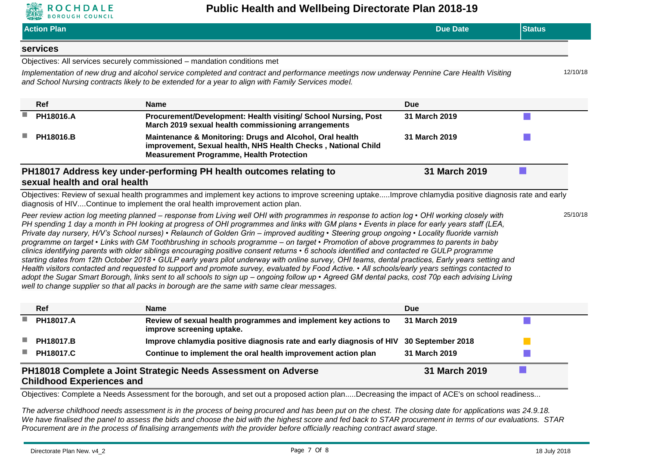

|    | <b>Action Plan</b>               |                                                                                                                                                                                                                                                                                                                                                                                                                                                                                                                                                                                                                                                                                                                                                                                                                                                                                                                                                                                                                                                                                                                                                                                                                                                                                              | <b>Due Date</b>   | <b>Status</b> |
|----|----------------------------------|----------------------------------------------------------------------------------------------------------------------------------------------------------------------------------------------------------------------------------------------------------------------------------------------------------------------------------------------------------------------------------------------------------------------------------------------------------------------------------------------------------------------------------------------------------------------------------------------------------------------------------------------------------------------------------------------------------------------------------------------------------------------------------------------------------------------------------------------------------------------------------------------------------------------------------------------------------------------------------------------------------------------------------------------------------------------------------------------------------------------------------------------------------------------------------------------------------------------------------------------------------------------------------------------|-------------------|---------------|
|    | services                         |                                                                                                                                                                                                                                                                                                                                                                                                                                                                                                                                                                                                                                                                                                                                                                                                                                                                                                                                                                                                                                                                                                                                                                                                                                                                                              |                   |               |
|    |                                  | Objectives: All services securely commissioned - mandation conditions met                                                                                                                                                                                                                                                                                                                                                                                                                                                                                                                                                                                                                                                                                                                                                                                                                                                                                                                                                                                                                                                                                                                                                                                                                    |                   |               |
|    |                                  | Implementation of new drug and alcohol service completed and contract and performance meetings now underway Pennine Care Health Visiting<br>and School Nursing contracts likely to be extended for a year to align with Family Services model.                                                                                                                                                                                                                                                                                                                                                                                                                                                                                                                                                                                                                                                                                                                                                                                                                                                                                                                                                                                                                                               |                   | 12/10/18      |
|    | Ref                              | <b>Name</b>                                                                                                                                                                                                                                                                                                                                                                                                                                                                                                                                                                                                                                                                                                                                                                                                                                                                                                                                                                                                                                                                                                                                                                                                                                                                                  | <b>Due</b>        |               |
| n. | PH18016.A                        | Procurement/Development: Health visiting/ School Nursing, Post<br>March 2019 sexual health commissioning arrangements                                                                                                                                                                                                                                                                                                                                                                                                                                                                                                                                                                                                                                                                                                                                                                                                                                                                                                                                                                                                                                                                                                                                                                        | 31 March 2019     |               |
|    | PH18016.B                        | Maintenance & Monitoring: Drugs and Alcohol, Oral health<br>improvement, Sexual health, NHS Health Checks, National Child<br><b>Measurement Programme, Health Protection</b>                                                                                                                                                                                                                                                                                                                                                                                                                                                                                                                                                                                                                                                                                                                                                                                                                                                                                                                                                                                                                                                                                                                 | 31 March 2019     |               |
|    | sexual health and oral health    | PH18017 Address key under-performing PH health outcomes relating to                                                                                                                                                                                                                                                                                                                                                                                                                                                                                                                                                                                                                                                                                                                                                                                                                                                                                                                                                                                                                                                                                                                                                                                                                          | 31 March 2019     |               |
|    |                                  | Objectives: Review of sexual health programmes and implement key actions to improve screening uptakeImprove chlamydia positive diagnosis rate and early<br>diagnosis of HIVContinue to implement the oral health improvement action plan.                                                                                                                                                                                                                                                                                                                                                                                                                                                                                                                                                                                                                                                                                                                                                                                                                                                                                                                                                                                                                                                    |                   |               |
|    |                                  | Peer review action log meeting planned – response from Living well OHI with programmes in response to action log • OHI working closely with<br>PH spending 1 day a month in PH looking at progress of OHI programmes and links with GM plans • Events in place for early years staff (LEA,<br>Private day nursery, H/V's School nurses) • Relaunch of Golden Grin - improved auditing • Steering group ongoing • Locality fluoride varnish<br>programme on target • Links with GM Toothbrushing in schools programme - on target • Promotion of above programmes to parents in baby<br>clinics identifying parents with older siblings encouraging positive consent returns • 6 schools identified and contacted re GULP programme<br>starting dates from 12th October 2018 • GULP early years pilot underway with online survey, OHI teams, dental practices, Early years setting and<br>Health visitors contacted and requested to support and promote survey, evaluated by Food Active. • All schools/early years settings contacted to<br>adopt the Sugar Smart Borough, links sent to all schools to sign up - ongoing follow up • Agreed GM dental packs, cost 70p each advising Living<br>well to change supplier so that all packs in borough are the same with same clear messages. |                   | 25/10/18      |
|    | Ref                              | <b>Name</b>                                                                                                                                                                                                                                                                                                                                                                                                                                                                                                                                                                                                                                                                                                                                                                                                                                                                                                                                                                                                                                                                                                                                                                                                                                                                                  | <b>Due</b>        |               |
| P. | PH18017.A                        | Review of sexual health programmes and implement key actions to<br>improve screening uptake.                                                                                                                                                                                                                                                                                                                                                                                                                                                                                                                                                                                                                                                                                                                                                                                                                                                                                                                                                                                                                                                                                                                                                                                                 | 31 March 2019     |               |
|    | PH18017.B                        | Improve chlamydia positive diagnosis rate and early diagnosis of HIV                                                                                                                                                                                                                                                                                                                                                                                                                                                                                                                                                                                                                                                                                                                                                                                                                                                                                                                                                                                                                                                                                                                                                                                                                         | 30 September 2018 |               |
|    | PH18017.C                        | Continue to implement the oral health improvement action plan                                                                                                                                                                                                                                                                                                                                                                                                                                                                                                                                                                                                                                                                                                                                                                                                                                                                                                                                                                                                                                                                                                                                                                                                                                | 31 March 2019     |               |
|    | <b>Childhood Experiences and</b> | PH18018 Complete a Joint Strategic Needs Assessment on Adverse                                                                                                                                                                                                                                                                                                                                                                                                                                                                                                                                                                                                                                                                                                                                                                                                                                                                                                                                                                                                                                                                                                                                                                                                                               | 31 March 2019     |               |

Objectives: Complete a Needs Assessment for the borough, and set out a proposed action plan.....Decreasing the impact of ACE's on school readiness...

*The adverse childhood needs assessment is in the process of being procured and has been put on the chest. The closing date for applications was 24.9.18. We have finalised the panel to assess the bids and choose the bid with the highest score and fed back to STAR procurement in terms of our evaluations. STAR Procurement are in the process of finalising arrangements with the provider before officially reaching contract award stage*.